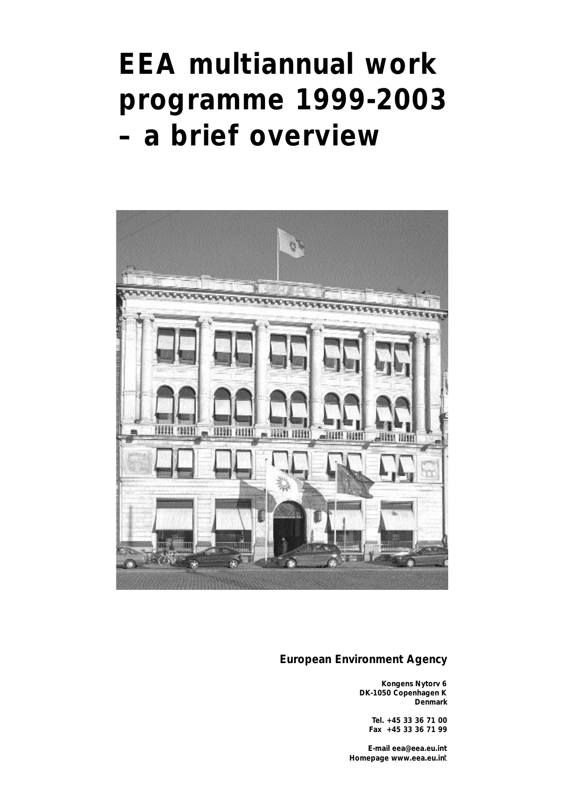# **EEA multiannual work p rogramme 1999-2003**   $-$  a brief overview



#### **European Environment Agency**

**Kongens Nytorv 6 DK-1050 Copenhagen K Denmark**

**Tel. +45 33 36 71 00 Fax +45 33 36 71 99**

**E-mail eea@eea.eu.int Homepage www.eea.eu.in**t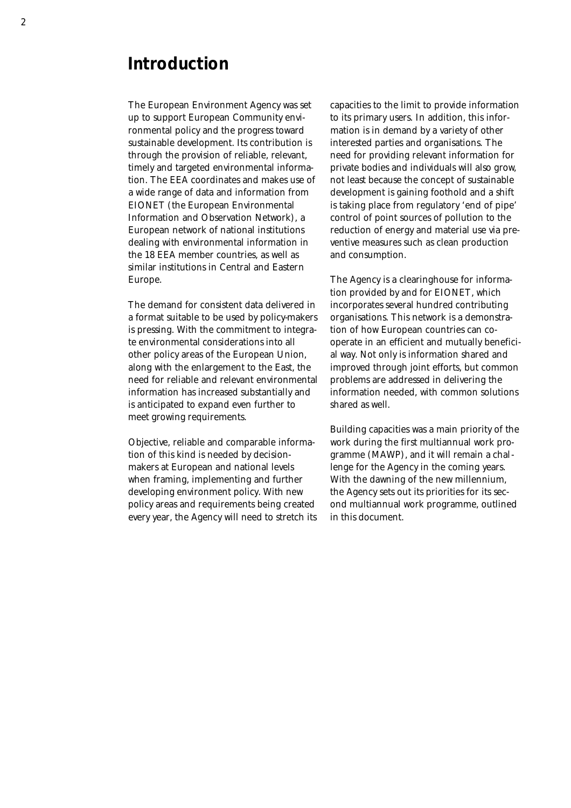### **Introduction**

The European Environment Agency was set up to support European Community environmental policy and the progress toward sustainable development. Its contribution is through the provision of reliable, relevant, timely and targeted environmental information. The EEA coordinates and makes use of a wide range of data and information from EIONET (the European Environmental Information and Observation Network), a European network of national institutions dealing with environmental information in the 18 EEA member countries, as well as similar institutions in Central and Eastern Europe.

The demand for consistent data delivered in a format suitable to be used by policy-makers is pressing. With the commitment to integrate environmental considerations into all other policy areas of the European Union, along with the enlargement to the East, the need for reliable and relevant environmental information has increased substantially and is anticipated to expand even further to meet growing requirements.

Objective, reliable and comparable information of this kind is needed by decisionmakers at European and national levels when framing, implementing and further developing environment policy. With new policy areas and requirements being created every year, the Agency will need to stretch its capacities to the limit to provide information to its primary users. In addition, this information is in demand by a variety of other interested parties and organisations. The need for providing relevant information for private bodies and individuals will also grow, not least because the concept of sustainable development is gaining foothold and a shift is taking place from regulatory 'end of pipe' control of point sources of pollution to the reduction of energy and material use via preventive measures such as clean production and consumption.

The Agency is a clearinghouse for information provided by and for EIONET, which incorporates several hundred contributing organisations. This network is a demonstration of how European countries can cooperate in an efficient and mutually beneficial way. Not only is information shared and improved through joint efforts, but common problems are addressed in delivering the information needed, with common solutions shared as well.

Building capacities was a main priority of the work during the first multiannual work programme (MAWP), and it will remain a challenge for the Agency in the coming years. With the dawning of the new millennium, the Agency sets out its priorities for its second multiannual work programme, outlined in this document.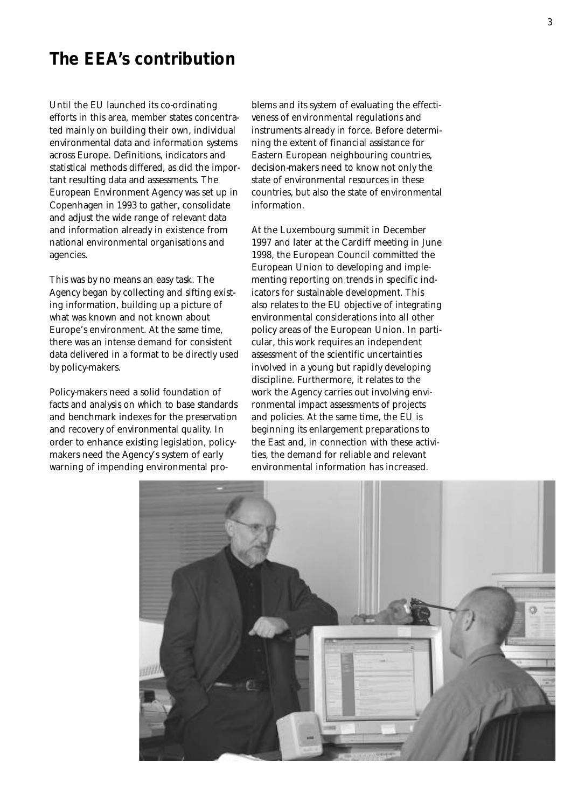#### **The EEA's contribution**

Until the EU launched its co-ordinating efforts in this area, member states concentrated mainly on building their own, individual environmental data and information systems across Europe. Definitions, indicators and statistical methods differed, as did the important resulting data and assessments. The European Environment Agency was set up in Copenhagen in 1993 to gather, consolidate and adjust the wide range of relevant data and information already in existence from national environmental organisations and agencies.

This was by no means an easy task. The Agency began by collecting and sifting existing information, building up a picture of what was known and not known about Europe's environment. At the same time, there was an intense demand for consistent data delivered in a format to be directly used by policy-makers.

Policy-makers need a solid foundation of facts and analysis on which to base standards and benchmark indexes for the preservation and recovery of environmental quality. In order to enhance existing legislation, policymakers need the Agency's system of early warning of impending environmental problems and its system of evaluating the effectiveness of environmental regulations and instruments already in force. Before determining the extent of financial assistance for Eastern European neighbouring countries, decision-makers need to know not only the state of environmental resources in these countries, but also the state of environmental information.

At the Luxembourg summit in December 1997 and later at the Cardiff meeting in June 1998, the European Council committed the European Union to developing and implementing reporting on trends in specific indicators for sustainable development. This also relates to the EU objective of integrating environmental considerations into all other policy areas of the European Union. In particular, this work requires an independent assessment of the scientific uncertainties involved in a young but rapidly developing discipline. Furthermore, it relates to the work the Agency carries out involving environmental impact assessments of projects and policies. At the same time, the EU is beginning its enlargement preparations to the East and, in connection with these activities, the demand for reliable and relevant environmental information has increased.

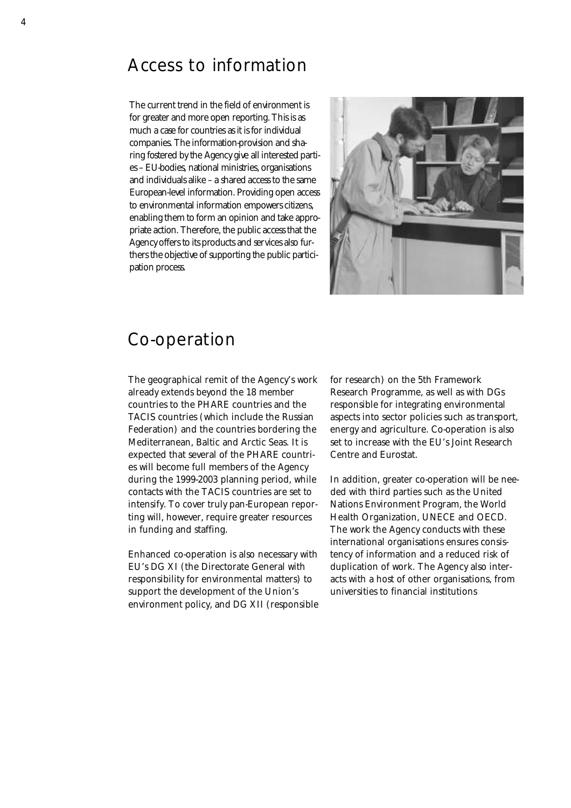#### Access to information

The current trend in the field of environment is for greater and more open reporting. This is as much a case for countries as it is for individual companies. The information-provision and sharing fostered by the Agency give all interested parties – EU-bodies, national ministries, organisations and individuals alike – a shared access to the same European-level information. Providing open access to environmental information empowers citizens, enabling them to form an opinion and take appropriate action. Therefore, the public access that the Agency offers to its products and services also furthers the objective of supporting the public participation process.



#### Co-operation

The geographical remit of the Agency's work already extends beyond the 18 member countries to the PHARE countries and the TACIS countries (which include the Russian Federation) and the countries bordering the Mediterranean, Baltic and Arctic Seas. It is expected that several of the PHARE countries will become full members of the Agency during the 1999-2003 planning period, while contacts with the TACIS countries are set to intensify. To cover truly pan-European reporting will, however, require greater resources in funding and staffing.

Enhanced co-operation is also necessary with EU's DG XI (the Directorate General with responsibility for environmental matters) to support the development of the Union's environment policy, and DG XII (responsible for research) on the 5th Framework Research Programme, as well as with DGs responsible for integrating environmental aspects into sector policies such as transport, energy and agriculture. Co-operation is also set to increase with the EU's Joint Research Centre and Eurostat.

In addition, greater co-operation will be needed with third parties such as the United Nations Environment Program, the World Health Organization, UNECE and OECD. The work the Agency conducts with these international organisations ensures consistency of information and a reduced risk of duplication of work. The Agency also interacts with a host of other organisations, from universities to financial institutions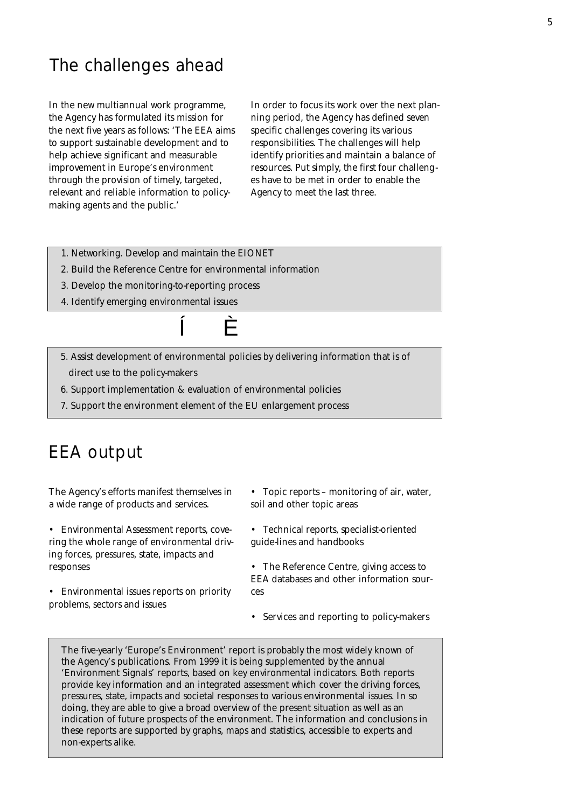### The challenges ahead

In the new multiannual work programme, the Agency has formulated its mission for the next five years as follows: 'The EEA aims to support sustainable development and to help achieve significant and measurable improvement in Europe's environment through the provision of timely, targeted, relevant and reliable information to policymaking agents and the public.'

In order to focus its work over the next planning period, the Agency has defined seven specific challenges covering its various responsibilities. The challenges will help identify priorities and maintain a balance of resources. Put simply, the first four challenges have to be met in order to enable the Agency to meet the last three.

- 1. Networking. Develop and maintain the EIONET
- 2. Build the Reference Centre for environmental information
- 3. Develop the monitoring-to-reporting process
- 4. Identify emerging environmental issues



- 5. Assist development of environmental policies by delivering information that is of direct use to the policy-makers
- 6. Support implementation & evaluation of environmental policies
- 7. Support the environment element of the EU enlargement process

### EEA output

The Agency's efforts manifest themselves in a wide range of products and services.

• Environmental Assessment reports, covering the whole range of environmental driving forces, pressures, state, impacts and responses

• Environmental issues reports on priority problems, sectors and issues

- Topic reports monitoring of air, water, soil and other topic areas
- Technical reports, specialist-oriented guide-lines and handbooks

• The Reference Centre, giving access to EEA databases and other information sources

• Services and reporting to policy-makers

The five-yearly 'Europe's Environment' report is probably the most widely known of the Agency's publications. From 1999 it is being supplemented by the annual 'Environment Signals' reports, based on key environmental indicators. Both reports provide key information and an integrated assessment which cover the driving forces, pressures, state, impacts and societal responses to various environmental issues. In so doing, they are able to give a broad overview of the present situation as well as an indication of future prospects of the environment. The information and conclusions in these reports are supported by graphs, maps and statistics, accessible to experts and non-experts alike.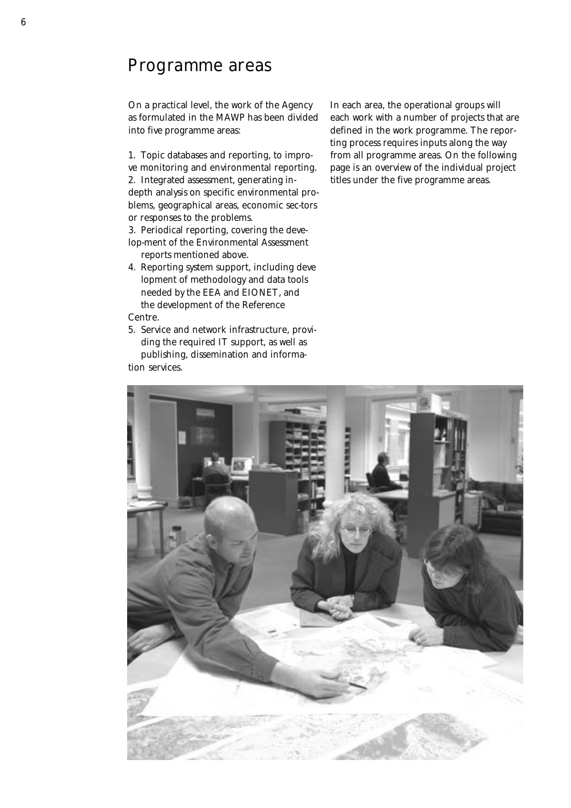#### Programme areas

On a practical level, the work of the Agency as formulated in the MAWP has been divided into five programme areas:

1. Topic databases and reporting, to improve monitoring and environmental reporting. 2. Integrated assessment, generating indepth analysis on specific environmental problems, geographical areas, economic sec-tors or responses to the problems.

3. Periodical reporting, covering the develop-ment of the Environmental Assessment reports mentioned above.

- 4. Reporting system support, including deve lopment of methodology and data tools needed by the EEA and EIONET, and the development of the Reference Centre.
- 5. Service and network infrastructure, providing the required IT support, as well as publishing, dissemination and informa-

tion services.

In each area, the operational groups will each work with a number of projects that are defined in the work programme. The reporting process requires inputs along the way from all programme areas. On the following page is an overview of the individual project titles under the five programme areas.

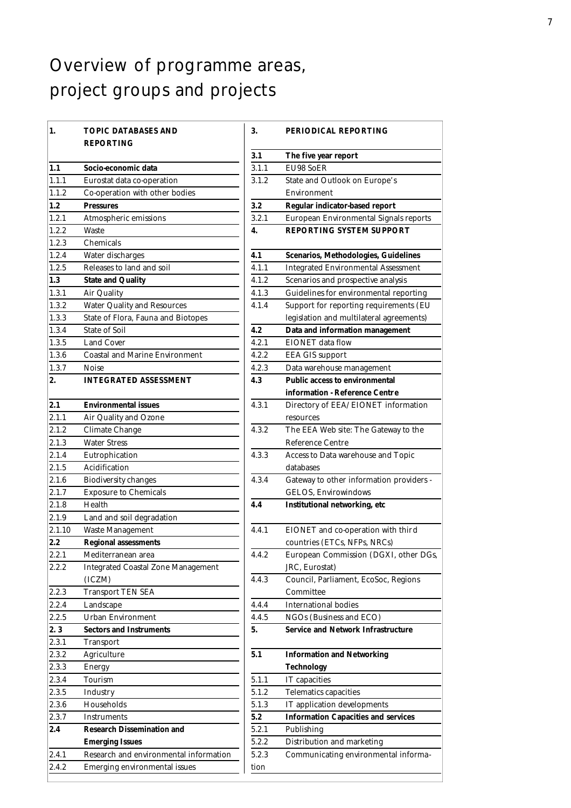### Overview of programme areas, project groups and projects

| <b>TOPIC DATABASES AND</b>                |
|-------------------------------------------|
| <b>REPORTING</b>                          |
| Socio-economic data                       |
| Eurostat data co-operation                |
| Co-operation with other bodies            |
| <b>Pressures</b>                          |
| Atmospheric emissions                     |
| Waste                                     |
| Chemicals                                 |
| Water discharges                          |
| Releases to land and soil                 |
| <b>State and Quality</b>                  |
| <b>Air Quality</b>                        |
| <b>Water Quality and Resources</b>        |
| State of Flora, Fauna and Biotopes        |
| <b>State of Soil</b>                      |
| <b>Land Cover</b>                         |
| <b>Coastal and Marine Environment</b>     |
| Noise                                     |
| <b>INTEGRATED ASSESSMENT</b>              |
| <b>Environmental issues</b>               |
| Air Quality and Ozone                     |
| <b>Climate Change</b>                     |
| <b>Water Stress</b>                       |
| Eutrophication                            |
| Acidification                             |
| <b>Biodiversity changes</b>               |
| <b>Exposure to Chemicals</b>              |
| Health                                    |
| Land and soil degradation                 |
| <b>Waste Management</b>                   |
| <b>Regional assessments</b>               |
| Mediterranean area                        |
| <b>Integrated Coastal Zone Management</b> |
| (ICZM)                                    |
| <b>Transport TEN SEA</b>                  |
| Landscape                                 |
| <b>Urban Environment</b>                  |
| <b>Sectors and Instruments</b>            |
| <b>Transport</b>                          |
| Agriculture                               |
| <b>Energy</b>                             |
| Tourism                                   |
| Industry                                  |
| Households                                |
| Instruments                               |
| <b>Research Dissemination and</b>         |
| <b>Emerging Issues</b>                    |
| Research and environmental information    |
| <b>Emerging environmental issues</b>      |
|                                           |

| 3.    | PERIODICAL REPORTING                          |
|-------|-----------------------------------------------|
| 3.1   | The five year report                          |
| 3.1.1 | <b>EU98 SoER</b>                              |
| 3.1.2 | State and Outlook on Europe's                 |
|       | Environment                                   |
| 3.2   | Regular indicator-based report                |
| 3.2.1 | European Environmental Signals reports        |
| 4.    | <b>REPORTING SYSTEM SUPPORT</b>               |
| 4.1   | Scenarios, Methodologies, Guidelines          |
| 4.1.1 | <b>Integrated Environmental Assessment</b>    |
| 4.1.2 | Scenarios and prospective analysis            |
| 4.1.3 | <b>Guidelines for environmental reporting</b> |
| 4.1.4 | Support for reporting requirements (EU        |
|       | legislation and multilateral agreements)      |
| 4.2   | Data and information management               |
| 4.2.1 | <b>EIONET</b> data flow                       |
| 4.2.2 | <b>EEA GIS support</b>                        |
| 4.2.3 | Data warehouse management                     |
| 4.3   | <b>Public access to environmental</b>         |
|       | information - Reference Centre                |
| 4.3.1 | Directory of EEA/EIONET information           |
|       | resources                                     |
| 4.3.2 | The EEA Web site: The Gateway to the          |
|       | <b>Reference Centre</b>                       |
| 4.3.3 | Access to Data warehouse and Topic            |
|       | databases                                     |
| 4.3.4 | Gateway to other information providers -      |
|       | <b>GELOS, Envirowindows</b>                   |
| 4.4   | <b>Institutional networking, etc</b>          |
| 4.4.1 | EIONET and co-operation with third            |
|       | countries (ETCs, NFPs, NRCs)                  |
| 4.4.2 | European Commission (DGXI, other DGs,         |
|       | JRC, Eurostat)                                |
| 4.4.3 | Council, Parliament, EcoSoc, Regions          |
|       | Committee                                     |
| 4.4.4 | <b>International bodies</b>                   |
| 4.4.5 | NGOs (Business and ECO)                       |
| 5.    | <b>Service and Network Infrastructure</b>     |
| 5.1   | <b>Information and Networking</b>             |
|       | Technology                                    |
| 5.1.1 | IT capacities                                 |
| 5.1.2 | Telematics capacities                         |
| 5.1.3 | IT application developments                   |
| 5.2   | <b>Information Capacities and services</b>    |
| 5.2.1 | Publishing                                    |
| 5.2.2 | Distribution and marketing                    |
| 5.2.3 | Communicating environmental informa-          |
| tion  |                                               |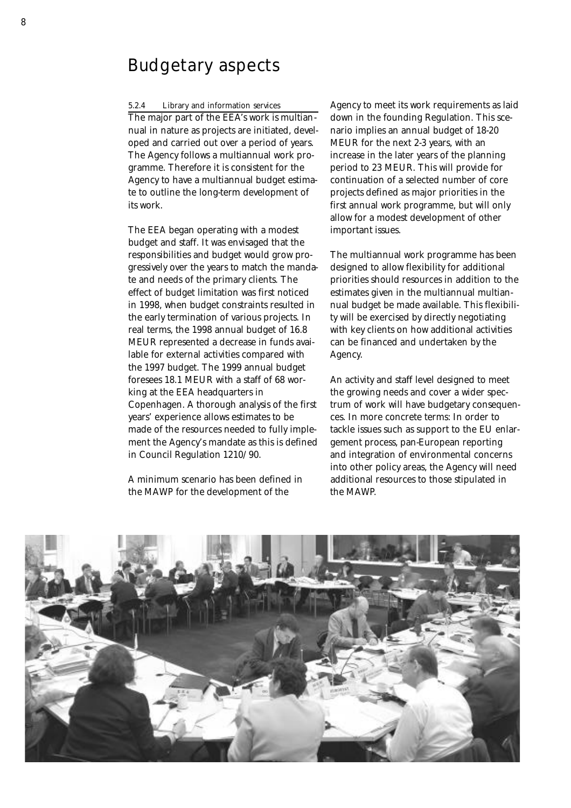#### Budgetary aspects

#### 5.2.4 Library and information services

The major part of the EEA's work is multiannual in nature as projects are initiated, developed and carried out over a period of years. The Agency follows a multiannual work programme. Therefore it is consistent for the Agency to have a multiannual budget estimate to outline the long-term development of its work.

The EEA began operating with a modest budget and staff. It was envisaged that the responsibilities and budget would grow progressively over the years to match the mandate and needs of the primary clients. The effect of budget limitation was first noticed in 1998, when budget constraints resulted in the early termination of various projects. In real terms, the 1998 annual budget of 16.8 MEUR represented a decrease in funds available for external activities compared with the 1997 budget. The 1999 annual budget foresees 18.1 MEUR with a staff of 68 working at the EEA headquarters in Copenhagen. A thorough analysis of the first years' experience allows estimates to be made of the resources needed to fully implement the Agency's mandate as this is defined in Council Regulation 1210/90.

A minimum scenario has been defined in the MAWP for the development of the

Agency to meet its work requirements as laid down in the founding Regulation. This scenario implies an annual budget of 18-20 MEUR for the next 2-3 years, with an increase in the later years of the planning period to 23 MEUR. This will provide for continuation of a selected number of core projects defined as major priorities in the first annual work programme, but will only allow for a modest development of other important issues.

The multiannual work programme has been designed to allow flexibility for additional priorities should resources in addition to the estimates given in the multiannual multiannual budget be made available. This flexibility will be exercised by directly negotiating with key clients on how additional activities can be financed and undertaken by the Agency.

An activity and staff level designed to meet the growing needs and cover a wider spectrum of work will have budgetary consequences. In more concrete terms: In order to tackle issues such as support to the EU enlargement process, pan-European reporting and integration of environmental concerns into other policy areas, the Agency will need additional resources to those stipulated in the MAWP.